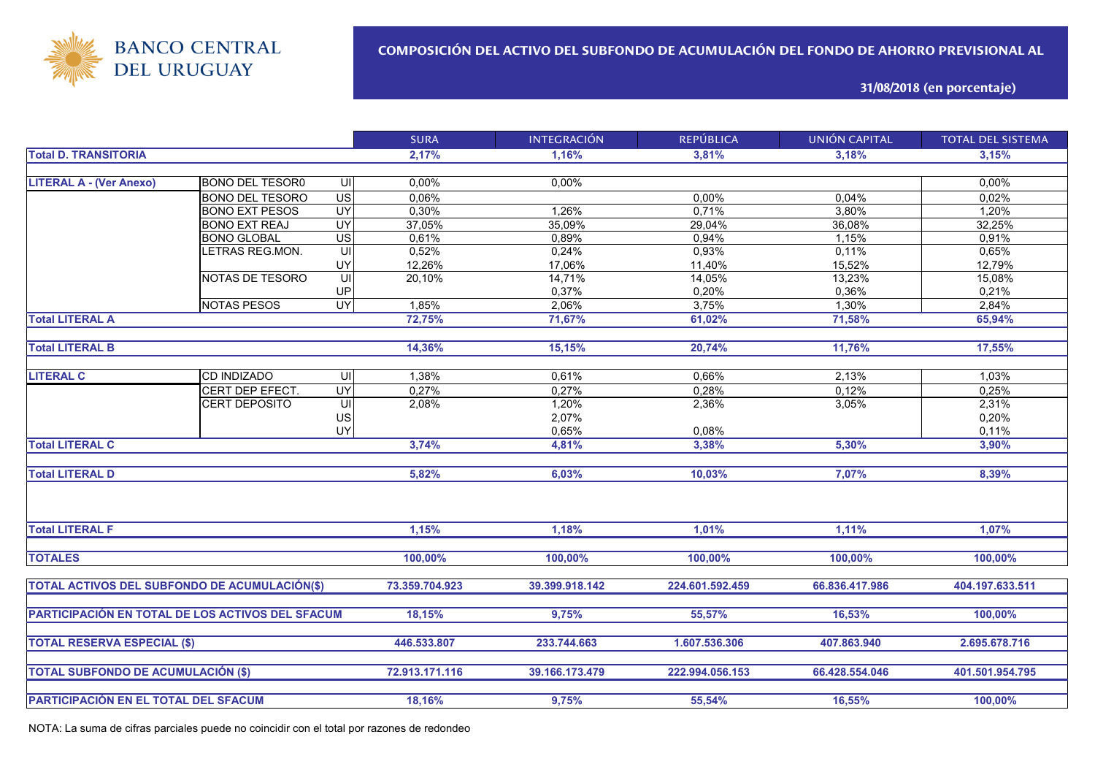

**31/08/2018 (en porcentaje)**

|                                                      |                        |                | <b>SURA</b>    | <b>INTEGRACIÓN</b> | <b>REPÚBLICA</b> | <b>UNIÓN CAPITAL</b> | <b>TOTAL DEL SISTEMA</b> |
|------------------------------------------------------|------------------------|----------------|----------------|--------------------|------------------|----------------------|--------------------------|
| <b>Total D. TRANSITORIA</b>                          |                        |                | 2,17%          | 1,16%              | 3,81%            | 3,18%                | 3,15%                    |
|                                                      |                        |                |                |                    |                  |                      |                          |
| <b>LITERAL A - (Ver Anexo)</b>                       | <b>BONO DEL TESOR0</b> | UI             | 0,00%          | 0,00%              |                  |                      | 0,00%                    |
|                                                      | <b>BONO DEL TESORO</b> | US             | 0,06%          |                    | 0,00%            | 0,04%                | 0,02%                    |
|                                                      | <b>BONO EXT PESOS</b>  | UY             | 0,30%          | 1,26%              | 0,71%            | 3,80%                | 1,20%                    |
|                                                      | <b>BONO EXT REAJ</b>   | UY             | 37,05%         | 35,09%             | 29,04%           | 36,08%               | 32,25%                   |
|                                                      | <b>BONO GLOBAL</b>     | US <sup></sup> | 0,61%          | 0,89%              | 0,94%            | 1,15%                | 0,91%                    |
|                                                      | LETRAS REG.MON.        | UI             | 0,52%          | 0,24%              | 0,93%            | 0,11%                | 0,65%                    |
|                                                      |                        | UY             | 12,26%         | 17,06%             | 11,40%           | 15,52%               | 12,79%                   |
|                                                      | NOTAS DE TESORO        | UI             | 20,10%         | 14,71%             | 14,05%           | 13,23%               | 15,08%                   |
|                                                      |                        | UP             |                | 0,37%              | 0,20%            | 0,36%                | 0,21%                    |
|                                                      | <b>NOTAS PESOS</b>     | UY <sub></sub> | 1,85%          | 2,06%              | 3,75%            | 1,30%                | 2,84%                    |
| <b>Total LITERAL A</b>                               |                        |                | 72,75%         | 71,67%             | 61,02%           | 71,58%               | 65,94%                   |
|                                                      |                        |                |                |                    |                  |                      |                          |
| <b>Total LITERAL B</b>                               |                        |                | 14,36%         | 15,15%             | 20,74%           | 11,76%               | 17,55%                   |
|                                                      |                        |                |                |                    |                  |                      |                          |
| <b>LITERAL C</b>                                     | <b>CD INDIZADO</b>     | UI             | 1,38%          | 0,61%              | 0,66%            | 2,13%                | 1,03%                    |
|                                                      | CERT DEP EFECT.        | UY             | 0,27%          | 0,27%              | 0,28%            | 0,12%                | 0,25%                    |
|                                                      | <b>CERT DEPOSITO</b>   | UI             | 2,08%          | 1,20%              | 2,36%            | 3,05%                | 2,31%                    |
|                                                      |                        | US             |                | 2,07%              |                  |                      | 0,20%                    |
|                                                      |                        | UY             |                | 0,65%              | 0,08%            |                      | 0,11%                    |
| <b>Total LITERAL C</b>                               |                        |                | 3,74%          | 4,81%              | 3,38%            | 5,30%                | 3,90%                    |
|                                                      |                        |                |                |                    |                  |                      |                          |
| <b>Total LITERAL D</b>                               |                        |                | 5,82%          | 6,03%              | 10,03%           | 7,07%                | 8,39%                    |
|                                                      |                        |                |                |                    |                  |                      |                          |
| <b>Total LITERAL F</b>                               |                        |                | 1,15%          | 1,18%              | 1,01%            | 1,11%                | 1,07%                    |
|                                                      |                        |                |                |                    |                  |                      |                          |
| <b>TOTALES</b>                                       |                        |                | 100,00%        | 100,00%            | 100,00%          | 100,00%              | 100,00%                  |
| <b>TOTAL ACTIVOS DEL SUBFONDO DE ACUMULACIÓN(\$)</b> |                        |                | 73.359.704.923 | 39.399.918.142     | 224.601.592.459  | 66.836.417.986       | 404.197.633.511          |
|                                                      |                        |                |                |                    |                  |                      |                          |
| PARTICIPACIÓN EN TOTAL DE LOS ACTIVOS DEL SFACUM     |                        |                | 18,15%         | 9,75%              | 55,57%           | 16,53%               | 100,00%                  |
|                                                      |                        |                |                |                    |                  |                      |                          |
| <b>TOTAL RESERVA ESPECIAL (\$)</b>                   |                        |                | 446.533.807    | 233.744.663        | 1.607.536.306    | 407.863.940          | 2.695.678.716            |
|                                                      |                        |                | 72.913.171.116 | 39.166.173.479     | 222.994.056.153  | 66.428.554.046       | 401.501.954.795          |
| <b>TOTAL SUBFONDO DE ACUMULACIÓN (\$)</b>            |                        |                |                |                    |                  |                      |                          |
| PARTICIPACIÓN EN EL TOTAL DEL SFACUM                 |                        |                | 18,16%         | 9,75%              | 55,54%           | 16,55%               | 100,00%                  |
|                                                      |                        |                |                |                    |                  |                      |                          |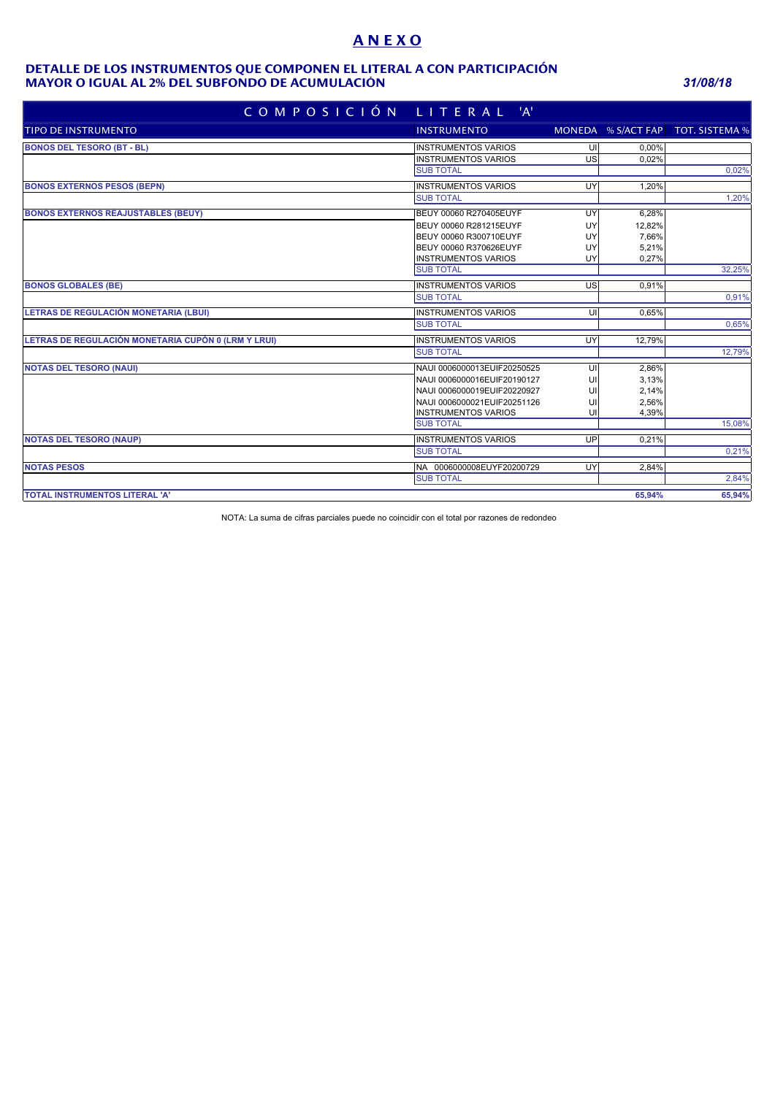# **A N E X O**

#### **MAYOR O IGUAL AL 2% DEL SUBFONDO DE ACUMULACIÓN** *31/08/18* **DETALLE DE LOS INSTRUMENTOS QUE COMPONEN EL LITERAL A CON PARTICIPACIÓN**

| COMPOSICIÓN LITERAL 'A'                             |                             |                         |        |                                   |
|-----------------------------------------------------|-----------------------------|-------------------------|--------|-----------------------------------|
| <b>TIPO DE INSTRUMENTO</b>                          | <b>INSTRUMENTO</b>          |                         |        | MONEDA % S/ACT FAP TOT. SISTEMA % |
| <b>BONOS DEL TESORO (BT - BL)</b>                   | <b>INSTRUMENTOS VARIOS</b>  | UI                      | 0.00%  |                                   |
|                                                     | <b>INSTRUMENTOS VARIOS</b>  | US                      | 0.02%  |                                   |
|                                                     | <b>SUB TOTAL</b>            |                         |        | 0,02%                             |
| <b>BONOS EXTERNOS PESOS (BEPN)</b>                  | <b>INSTRUMENTOS VARIOS</b>  | UY                      | 1.20%  |                                   |
|                                                     | <b>SUB TOTAL</b>            |                         |        | 1.20%                             |
| <b>BONOS EXTERNOS REAJUSTABLES (BEUY)</b>           | BEUY 00060 R270405EUYF      | UY                      | 6,28%  |                                   |
|                                                     | BEUY 00060 R281215EUYF      | UY                      | 12,82% |                                   |
|                                                     | BEUY 00060 R300710EUYF      | UY                      | 7,66%  |                                   |
|                                                     | BEUY 00060 R370626EUYF      | UY                      | 5,21%  |                                   |
|                                                     | <b>INSTRUMENTOS VARIOS</b>  | UY                      | 0,27%  |                                   |
|                                                     | <b>SUB TOTAL</b>            |                         |        | 32,25%                            |
| <b>BONOS GLOBALES (BE)</b>                          | <b>INSTRUMENTOS VARIOS</b>  | US                      | 0,91%  |                                   |
|                                                     | <b>SUB TOTAL</b>            |                         |        | 0,91%                             |
| LETRAS DE REGULACIÓN MONETARIA (LBUI)               | <b>INSTRUMENTOS VARIOS</b>  | $\overline{\mathsf{U}}$ | 0,65%  |                                   |
|                                                     | <b>SUB TOTAL</b>            |                         |        | 0,65%                             |
| LETRAS DE REGULACIÓN MONETARIA CUPÓN 0 (LRM Y LRUI) | <b>INSTRUMENTOS VARIOS</b>  | UY                      | 12,79% |                                   |
|                                                     | <b>SUB TOTAL</b>            |                         |        | 12,79%                            |
| <b>NOTAS DEL TESORO (NAUI)</b>                      | NAUI 0006000013EUIF20250525 | UI                      | 2,86%  |                                   |
|                                                     | NAUI 0006000016EUIF20190127 | UI                      | 3,13%  |                                   |
|                                                     | NAUI 0006000019EUIF20220927 | U                       | 2,14%  |                                   |
|                                                     | NAUI 0006000021EUIF20251126 | U                       | 2,56%  |                                   |
|                                                     | <b>INSTRUMENTOS VARIOS</b>  | UI                      | 4,39%  |                                   |
|                                                     | <b>SUB TOTAL</b>            |                         |        | 15,08%                            |
| <b>NOTAS DEL TESORO (NAUP)</b>                      | <b>INSTRUMENTOS VARIOS</b>  | UP                      | 0,21%  |                                   |
|                                                     | <b>SUB TOTAL</b>            |                         |        | 0,21%                             |
| <b>NOTAS PESOS</b>                                  | NA 0006000008EUYF20200729   | UY                      | 2.84%  |                                   |
|                                                     | <b>SUB TOTAL</b>            |                         |        | 2,84%                             |
| TOTAL INSTRUMENTOS LITERAL 'A'                      |                             |                         | 65,94% | 65,94%                            |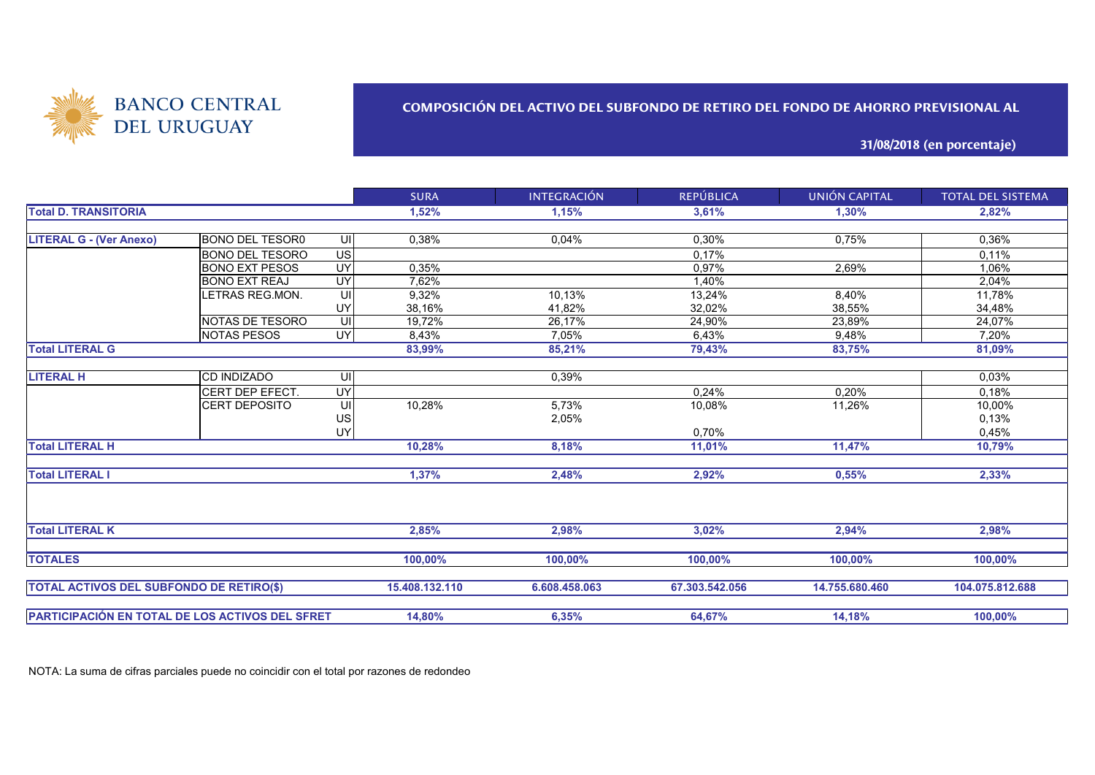

## **COMPOSICIÓN DEL ACTIVO DEL SUBFONDO DE RETIRO DEL FONDO DE AHORRO PREVISIONAL AL**

**31/08/2018 (en porcentaje)**

|                                                 |                        |           | <b>SURA</b>    | <b>INTEGRACIÓN</b> | <b>REPÚBLICA</b> | <b>UNIÓN CAPITAL</b> | <b>TOTAL DEL SISTEMA</b> |
|-------------------------------------------------|------------------------|-----------|----------------|--------------------|------------------|----------------------|--------------------------|
| <b>Total D. TRANSITORIA</b>                     |                        |           | 1,52%          | 1,15%              | 3,61%            | 1,30%                | 2,82%                    |
|                                                 |                        |           |                |                    |                  |                      |                          |
| <b>LITERAL G - (Ver Anexo)</b>                  | BONO DEL TESOR0        | -UII      | 0,38%          | 0.04%              | 0,30%            | 0,75%                | 0,36%                    |
|                                                 | <b>BONO DEL TESORO</b> | US        |                |                    | 0.17%            |                      | 0.11%                    |
|                                                 | <b>BONO EXT PESOS</b>  | UY        | 0,35%          |                    | 0,97%            | 2,69%                | 1,06%                    |
|                                                 | <b>BONO EXT REAJ</b>   | UY        | 7,62%          |                    | 1,40%            |                      | 2,04%                    |
|                                                 | LETRAS REG.MON.        | UI        | 9.32%          | 10,13%             | 13,24%           | 8,40%                | 11,78%                   |
|                                                 |                        | UY        | 38,16%         | 41,82%             | 32,02%           | 38,55%               | 34,48%                   |
|                                                 | NOTAS DE TESORO        | UI        | 19,72%         | 26,17%             | 24,90%           | 23,89%               | 24,07%                   |
|                                                 | <b>NOTAS PESOS</b>     | <b>UY</b> | 8,43%          | 7,05%              | 6,43%            | 9,48%                | 7,20%                    |
| <b>Total LITERAL G</b>                          |                        |           | 83,99%         | 85,21%             | 79,43%           | 83,75%               | 81,09%                   |
|                                                 |                        |           |                |                    |                  |                      |                          |
| <b>LITERAL H</b>                                | <b>CD INDIZADO</b>     | -UII      |                | 0,39%              |                  |                      | 0,03%                    |
|                                                 | CERT DEP EFECT.        | UY        |                |                    | 0,24%            | 0,20%                | 0,18%                    |
|                                                 | <b>CERT DEPOSITO</b>   | UI        | 10,28%         | 5,73%              | 10,08%           | 11,26%               | 10,00%                   |
|                                                 |                        | US        |                | 2,05%              |                  |                      | 0,13%                    |
|                                                 |                        | UY        |                |                    | 0,70%            |                      | 0,45%                    |
| <b>Total LITERAL H</b>                          |                        |           | 10,28%         | 8,18%              | 11,01%           | 11,47%               | 10,79%                   |
|                                                 |                        |           |                |                    |                  |                      |                          |
| <b>Total LITERAL I</b>                          |                        |           | 1,37%          | 2,48%              | 2,92%            | 0,55%                | 2,33%                    |
|                                                 |                        |           |                |                    |                  |                      |                          |
|                                                 |                        |           |                |                    |                  |                      |                          |
| <b>Total LITERAL K</b>                          |                        |           | 2,85%          | 2.98%              | 3,02%            | 2,94%                | 2,98%                    |
| <b>TOTALES</b>                                  |                        |           | 100,00%        | 100.00%            | 100,00%          | 100,00%              | 100.00%                  |
| <b>TOTAL ACTIVOS DEL SUBFONDO DE RETIRO(\$)</b> |                        |           | 15.408.132.110 | 6.608.458.063      | 67.303.542.056   | 14.755.680.460       | 104.075.812.688          |
|                                                 |                        |           |                |                    |                  |                      |                          |
| PARTICIPACIÓN EN TOTAL DE LOS ACTIVOS DEL SFRET |                        |           | 14,80%         | 6,35%              | 64,67%           | 14,18%               | 100,00%                  |